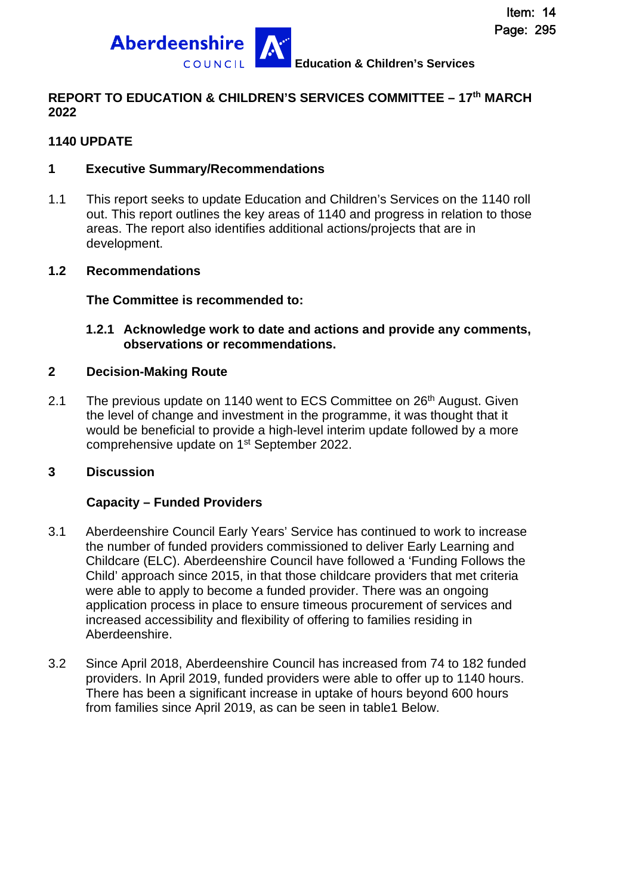

### **REPORT TO EDUCATION & CHILDREN'S SERVICES COMMITTEE – 17th MARCH 2022**

### **1140 UPDATE**

### **1 Executive Summary/Recommendations**

1.1 This report seeks to update Education and Children's Services on the 1140 roll out. This report outlines the key areas of 1140 and progress in relation to those areas. The report also identifies additional actions/projects that are in development.

### **1.2 Recommendations**

**The Committee is recommended to:** 

### **1.2.1 Acknowledge work to date and actions and provide any comments, observations or recommendations.**

### **2 Decision-Making Route**

2.1 The previous update on 1140 went to ECS Committee on 26<sup>th</sup> August. Given the level of change and investment in the programme, it was thought that it would be beneficial to provide a high-level interim update followed by a more comprehensive update on 1<sup>st</sup> September 2022.

### **3 Discussion**

### **Capacity – Funded Providers**

- 3.1 Aberdeenshire Council Early Years' Service has continued to work to increase the number of funded providers commissioned to deliver Early Learning and Childcare (ELC). Aberdeenshire Council have followed a 'Funding Follows the Child' approach since 2015, in that those childcare providers that met criteria were able to apply to become a funded provider. There was an ongoing application process in place to ensure timeous procurement of services and increased accessibility and flexibility of offering to families residing in Aberdeenshire.
- 3.2 Since April 2018, Aberdeenshire Council has increased from 74 to 182 funded providers. In April 2019, funded providers were able to offer up to 1140 hours. There has been a significant increase in uptake of hours beyond 600 hours from families since April 2019, as can be seen in table1 Below.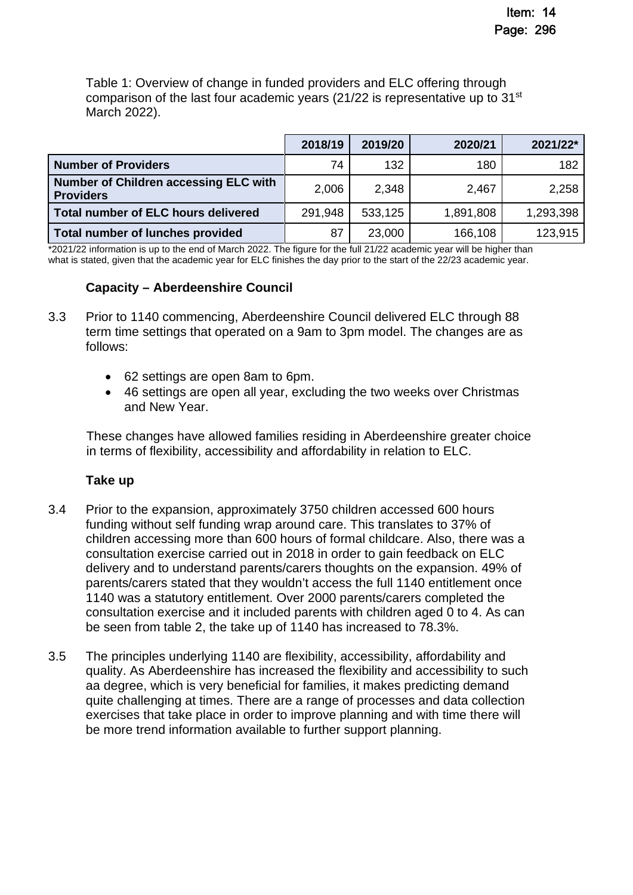Table 1: Overview of change in funded providers and ELC offering through comparison of the last four academic years  $(21/22)$  is representative up to 31<sup>st</sup> March 2022).

|                                                           | 2018/19 | 2019/20 | 2020/21   | 2021/22*  |
|-----------------------------------------------------------|---------|---------|-----------|-----------|
| <b>Number of Providers</b>                                | 74      | 132     | 180       | 182       |
| Number of Children accessing ELC with<br><b>Providers</b> | 2,006   | 2,348   | 2,467     | 2,258     |
| Total number of ELC hours delivered                       | 291,948 | 533,125 | 1,891,808 | 1,293,398 |
| Total number of lunches provided                          | 87      | 23,000  | 166,108   | 123,915   |

\*2021/22 information is up to the end of March 2022. The figure for the full 21/22 academic year will be higher than what is stated, given that the academic year for ELC finishes the day prior to the start of the 22/23 academic year.

## **Capacity – Aberdeenshire Council**

- 3.3 Prior to 1140 commencing, Aberdeenshire Council delivered ELC through 88 term time settings that operated on a 9am to 3pm model. The changes are as follows:
	- 62 settings are open 8am to 6pm.
	- 46 settings are open all year, excluding the two weeks over Christmas and New Year.

These changes have allowed families residing in Aberdeenshire greater choice in terms of flexibility, accessibility and affordability in relation to ELC.

## **Take up**

- 3.4 Prior to the expansion, approximately 3750 children accessed 600 hours funding without self funding wrap around care. This translates to 37% of children accessing more than 600 hours of formal childcare. Also, there was a consultation exercise carried out in 2018 in order to gain feedback on ELC delivery and to understand parents/carers thoughts on the expansion. 49% of parents/carers stated that they wouldn't access the full 1140 entitlement once 1140 was a statutory entitlement. Over 2000 parents/carers completed the consultation exercise and it included parents with children aged 0 to 4. As can be seen from table 2, the take up of 1140 has increased to 78.3%.
- 3.5 The principles underlying 1140 are flexibility, accessibility, affordability and quality. As Aberdeenshire has increased the flexibility and accessibility to such aa degree, which is very beneficial for families, it makes predicting demand quite challenging at times. There are a range of processes and data collection exercises that take place in order to improve planning and with time there will be more trend information available to further support planning.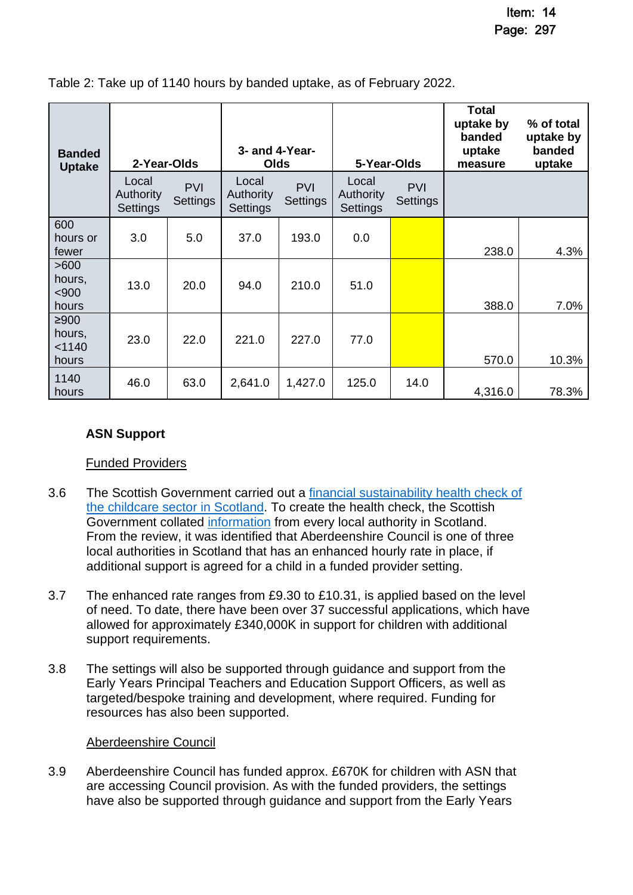| <b>Banded</b><br><b>Uptake</b>    | 2-Year-Olds                           |                               | 3- and 4-Year-<br><b>Olds</b>  |                               | 5-Year-Olds                    |                        | <b>Total</b><br>uptake by<br>banded<br>uptake<br>measure | % of total<br>uptake by<br>banded<br>uptake |
|-----------------------------------|---------------------------------------|-------------------------------|--------------------------------|-------------------------------|--------------------------------|------------------------|----------------------------------------------------------|---------------------------------------------|
|                                   | Local<br><b>Authority</b><br>Settings | <b>PVI</b><br><b>Settings</b> | Local<br>Authority<br>Settings | <b>PVI</b><br><b>Settings</b> | Local<br>Authority<br>Settings | <b>PVI</b><br>Settings |                                                          |                                             |
| 600<br>hours or<br>fewer          | 3.0                                   | 5.0                           | 37.0                           | 193.0                         | 0.0                            |                        | 238.0                                                    | 4.3%                                        |
| >600<br>hours,<br>$900$<br>hours  | 13.0                                  | 20.0                          | 94.0                           | 210.0                         | 51.0                           |                        | 388.0                                                    | 7.0%                                        |
| ≥900<br>hours,<br>< 1140<br>hours | 23.0                                  | 22.0                          | 221.0                          | 227.0                         | 77.0                           |                        | 570.0                                                    | 10.3%                                       |
| 1140<br>hours                     | 46.0                                  | 63.0                          | 2,641.0                        | 1,427.0                       | 125.0                          | 14.0                   | 4,316.0                                                  | 78.3%                                       |

Table 2: Take up of 1140 hours by banded uptake, as of February 2022.

## **ASN Support**

### Funded Providers

- 3.6 The Scottish Government carried out a [financial sustainability health check of](https://www.gov.scot/publications/financial-sustainability-health-check-childcare-sector-scotland/)  [the childcare sector in Scotland. To create the health check, the Scottish](https://www.gov.scot/publications/financial-sustainability-health-check-childcare-sector-scotland/)  Government collated [information](https://www.gov.scot/publications/overview-local-authority-funding-support-early-learning-childcare-providers/pages/2/) from every local authority in Scotland. From the review, it was identified that Aberdeenshire Council is one of three local authorities in Scotland that has an enhanced hourly rate in place, if additional support is agreed for a child in a funded provider setting.
- 3.7 The enhanced rate ranges from £9.30 to £10.31, is applied based on the level of need. To date, there have been over 37 successful applications, which have allowed for approximately £340,000K in support for children with additional support requirements.
- 3.8 The settings will also be supported through guidance and support from the Early Years Principal Teachers and Education Support Officers, as well as targeted/bespoke training and development, where required. Funding for resources has also been supported.

### Aberdeenshire Council

3.9 Aberdeenshire Council has funded approx. £670K for children with ASN that are accessing Council provision. As with the funded providers, the settings have also be supported through guidance and support from the Early Years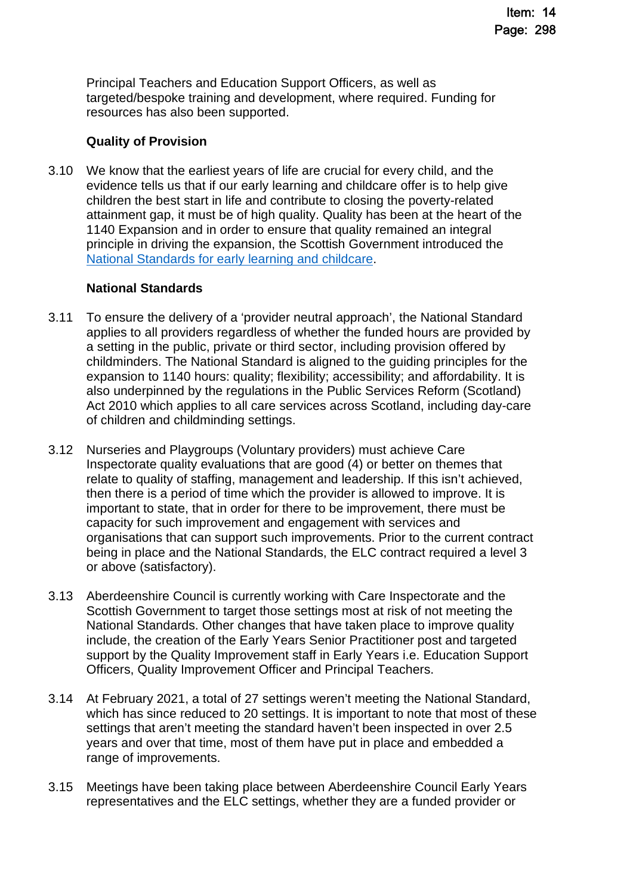Principal Teachers and Education Support Officers, as well as targeted/bespoke training and development, where required. Funding for resources has also been supported.

## **Quality of Provision**

3.10 We know that the earliest years of life are crucial for every child, and the evidence tells us that if our early learning and childcare offer is to help give children the best start in life and contribute to closing the poverty-related attainment gap, it must be of high quality. Quality has been at the heart of the 1140 Expansion and in order to ensure that quality remained an integral principle in driving the expansion, the Scottish Government introduced the [National Standards for early learning and childcare](https://www.gov.scot/policies/early-education-and-care/national-standard-for-early-learning-and-childcare/).

# **National Standards**

- 3.11 To ensure the delivery of a 'provider neutral approach', the National Standard applies to all providers regardless of whether the funded hours are provided by a setting in the public, private or third sector, including provision offered by childminders. The National Standard is aligned to the guiding principles for the expansion to 1140 hours: quality; flexibility; accessibility; and affordability. It is also underpinned by the regulations in the Public Services Reform (Scotland) Act 2010 which applies to all care services across Scotland, including day-care of children and childminding settings.
- 3.12 Nurseries and Playgroups (Voluntary providers) must achieve Care Inspectorate quality evaluations that are good (4) or better on themes that relate to quality of staffing, management and leadership. If this isn't achieved, then there is a period of time which the provider is allowed to improve. It is important to state, that in order for there to be improvement, there must be capacity for such improvement and engagement with services and organisations that can support such improvements. Prior to the current contract being in place and the National Standards, the ELC contract required a level 3 or above (satisfactory).
- 3.13 Aberdeenshire Council is currently working with Care Inspectorate and the Scottish Government to target those settings most at risk of not meeting the National Standards. Other changes that have taken place to improve quality include, the creation of the Early Years Senior Practitioner post and targeted support by the Quality Improvement staff in Early Years i.e. Education Support Officers, Quality Improvement Officer and Principal Teachers.
- 3.14 At February 2021, a total of 27 settings weren't meeting the National Standard, which has since reduced to 20 settings. It is important to note that most of these settings that aren't meeting the standard haven't been inspected in over 2.5 years and over that time, most of them have put in place and embedded a range of improvements.
- 3.15 Meetings have been taking place between Aberdeenshire Council Early Years representatives and the ELC settings, whether they are a funded provider or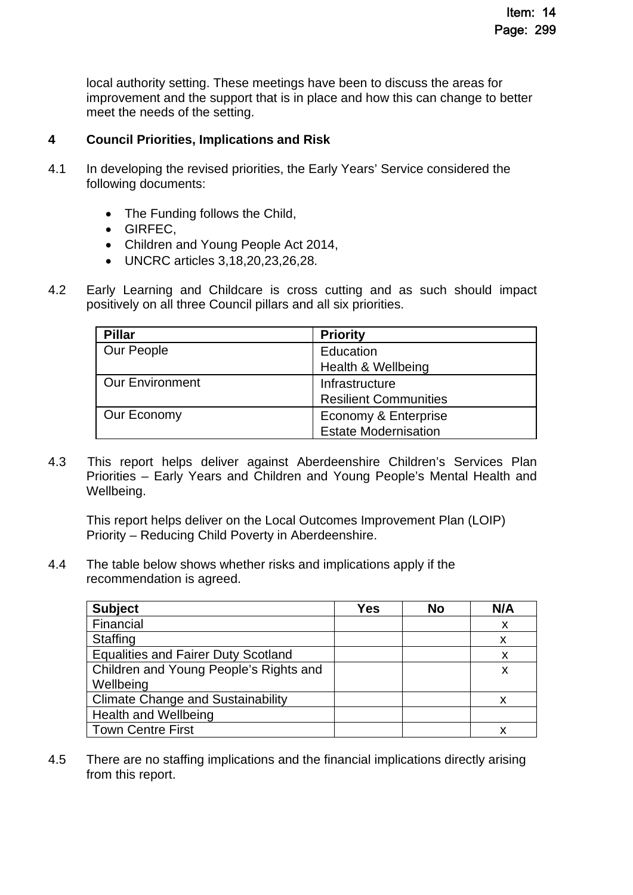local authority setting. These meetings have been to discuss the areas for improvement and the support that is in place and how this can change to better meet the needs of the setting.

# **4 Council Priorities, Implications and Risk**

- 4.1 In developing the revised priorities, the Early Years' Service considered the following documents:
	- The Funding follows the Child,
	- GIRFEC.
	- Children and Young People Act 2014,
	- UNCRC articles 3,18,20,23,26,28.
- 4.2 Early Learning and Childcare is cross cutting and as such should impact positively on all three Council pillars and all six priorities.

| <b>Pillar</b>          | <b>Priority</b>              |
|------------------------|------------------------------|
| Our People             | Education                    |
|                        | Health & Wellbeing           |
| <b>Our Environment</b> | Infrastructure               |
|                        | <b>Resilient Communities</b> |
| Our Economy            | Economy & Enterprise         |
|                        | <b>Estate Modernisation</b>  |

4.3 This report helps deliver against Aberdeenshire Children's Services Plan Priorities – Early Years and Children and Young People's Mental Health and Wellbeing.

This report helps deliver on the Local Outcomes Improvement Plan (LOIP) Priority – Reducing Child Poverty in Aberdeenshire.

4.4 The table below shows whether risks and implications apply if the recommendation is agreed.

| <b>Subject</b>                             | <b>Yes</b> | <b>No</b> | N/A |
|--------------------------------------------|------------|-----------|-----|
| Financial                                  |            |           | X   |
| <b>Staffing</b>                            |            |           | X   |
| <b>Equalities and Fairer Duty Scotland</b> |            |           | X   |
| Children and Young People's Rights and     |            |           | x   |
| Wellbeing                                  |            |           |     |
| <b>Climate Change and Sustainability</b>   |            |           |     |
| <b>Health and Wellbeing</b>                |            |           |     |
| <b>Town Centre First</b>                   |            |           |     |

4.5 There are no staffing implications and the financial implications directly arising from this report.